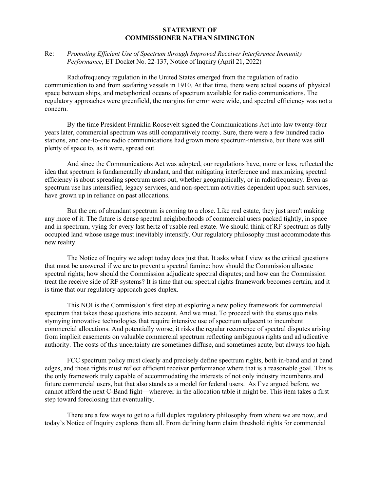## **STATEMENT OF COMMISSIONER NATHAN SIMINGTON**

## Re: *Promoting Efficient Use of Spectrum through Improved Receiver Interference Immunity Performance*, ET Docket No. 22-137, Notice of Inquiry (April 21, 2022)

Radiofrequency regulation in the United States emerged from the regulation of radio communication to and from seafaring vessels in 1910. At that time, there were actual oceans of physical space between ships, and metaphorical oceans of spectrum available for radio communications. The regulatory approaches were greenfield, the margins for error were wide, and spectral efficiency was not a concern.

By the time President Franklin Roosevelt signed the Communications Act into law twenty-four years later, commercial spectrum was still comparatively roomy. Sure, there were a few hundred radio stations, and one-to-one radio communications had grown more spectrum-intensive, but there was still plenty of space to, as it were, spread out.

And since the Communications Act was adopted, our regulations have, more or less, reflected the idea that spectrum is fundamentally abundant, and that mitigating interference and maximizing spectral efficiency is about spreading spectrum users out, whether geographically, or in radiofrequency. Even as spectrum use has intensified, legacy services, and non-spectrum activities dependent upon such services, have grown up in reliance on past allocations.

But the era of abundant spectrum is coming to a close. Like real estate, they just aren't making any more of it. The future is dense spectral neighborhoods of commercial users packed tightly, in space and in spectrum, vying for every last hertz of usable real estate. We should think of RF spectrum as fully occupied land whose usage must inevitably intensify. Our regulatory philosophy must accommodate this new reality.

The Notice of Inquiry we adopt today does just that. It asks what I view as the critical questions that must be answered if we are to prevent a spectral famine: how should the Commission allocate spectral rights; how should the Commission adjudicate spectral disputes; and how can the Commission treat the receive side of RF systems? It is time that our spectral rights framework becomes certain, and it is time that our regulatory approach goes duplex.

This NOI is the Commission's first step at exploring a new policy framework for commercial spectrum that takes these questions into account. And we must. To proceed with the status quo risks stymying innovative technologies that require intensive use of spectrum adjacent to incumbent commercial allocations. And potentially worse, it risks the regular recurrence of spectral disputes arising from implicit easements on valuable commercial spectrum reflecting ambiguous rights and adjudicative authority. The costs of this uncertainty are sometimes diffuse, and sometimes acute, but always too high.

FCC spectrum policy must clearly and precisely define spectrum rights, both in-band and at band edges, and those rights must reflect efficient receiver performance where that is a reasonable goal. This is the only framework truly capable of accommodating the interests of not only industry incumbents and future commercial users, but that also stands as a model for federal users. As I've argued before, we cannot afford the next C-Band fight—wherever in the allocation table it might be. This item takes a first step toward foreclosing that eventuality.

There are a few ways to get to a full duplex regulatory philosophy from where we are now, and today's Notice of Inquiry explores them all. From defining harm claim threshold rights for commercial